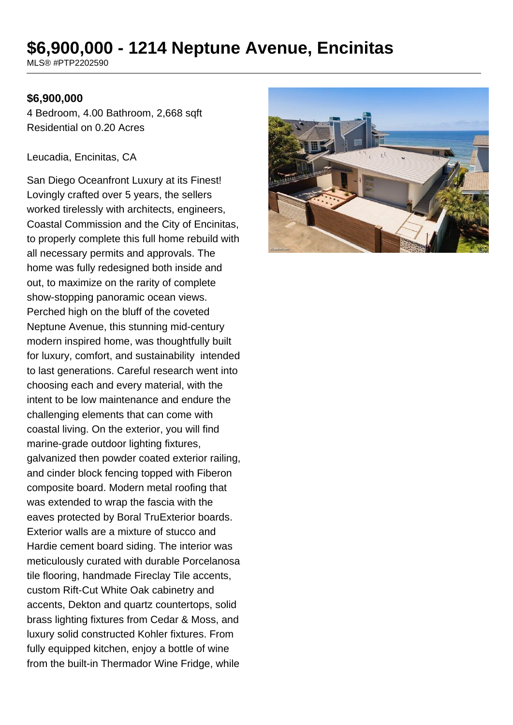# **\$6,900,000 - 1214 Neptune Avenue, Encinitas**

MLS® #PTP2202590

#### **\$6,900,000**

4 Bedroom, 4.00 Bathroom, 2,668 sqft Residential on 0.20 Acres

#### Leucadia, Encinitas, CA

San Diego Oceanfront Luxury at its Finest! Lovingly crafted over 5 years, the sellers worked tirelessly with architects, engineers, Coastal Commission and the City of Encinitas, to properly complete this full home rebuild with all necessary permits and approvals. The home was fully redesigned both inside and out, to maximize on the rarity of complete show-stopping panoramic ocean views. Perched high on the bluff of the coveted Neptune Avenue, this stunning mid-century modern inspired home, was thoughtfully built for luxury, comfort, and sustainability intended to last generations. Careful research went into choosing each and every material, with the intent to be low maintenance and endure the challenging elements that can come with coastal living. On the exterior, you will find marine-grade outdoor lighting fixtures, galvanized then powder coated exterior railing, and cinder block fencing topped with Fiberon composite board. Modern metal roofing that was extended to wrap the fascia with the eaves protected by Boral TruExterior boards. Exterior walls are a mixture of stucco and Hardie cement board siding. The interior was meticulously curated with durable Porcelanosa tile flooring, handmade Fireclay Tile accents, custom Rift-Cut White Oak cabinetry and accents, Dekton and quartz countertops, solid brass lighting fixtures from Cedar & Moss, and luxury solid constructed Kohler fixtures. From fully equipped kitchen, enjoy a bottle of wine from the built-in Thermador Wine Fridge, while

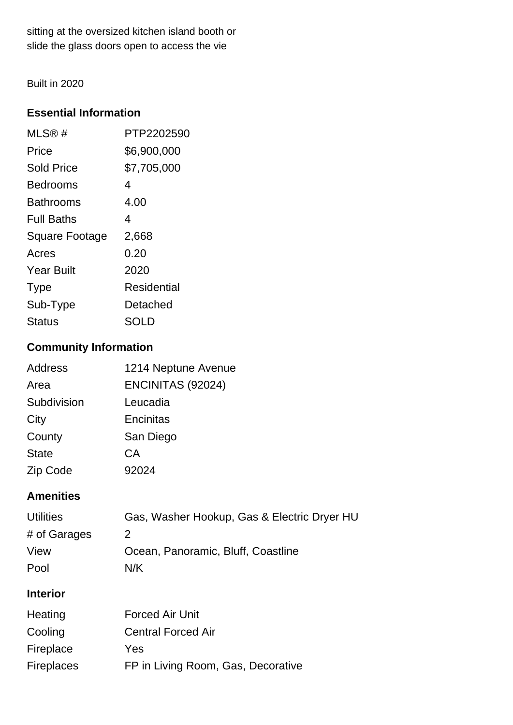sitting at the oversized kitchen island booth or slide the glass doors open to access the vie

Built in 2020

# **Essential Information**

| MLS®#                 | PTP2202590         |
|-----------------------|--------------------|
| Price                 | \$6,900,000        |
| <b>Sold Price</b>     | \$7,705,000        |
| Bedrooms              | 4                  |
| Bathrooms             | 4.00               |
| <b>Full Baths</b>     | 4                  |
| <b>Square Footage</b> | 2,668              |
| Acres                 | 0.20               |
| <b>Year Built</b>     | 2020               |
| <b>Type</b>           | <b>Residential</b> |
| Sub-Type              | Detached           |
| Status                | SOLD               |

# **Community Information**

| <b>Address</b> | 1214 Neptune Avenue |
|----------------|---------------------|
| Area           | ENCINITAS (92024)   |
| Subdivision    | Leucadia            |
| City           | Encinitas           |
| County         | San Diego           |
| <b>State</b>   | СA                  |
| Zip Code       | 92024               |

# **Amenities**

| <b>Utilities</b> | Gas, Washer Hookup, Gas & Electric Dryer HU |
|------------------|---------------------------------------------|
| # of Garages     |                                             |
| View             | Ocean, Panoramic, Bluff, Coastline          |
| Pool             | N/K                                         |

# **Interior**

| Heating           | <b>Forced Air Unit</b>             |
|-------------------|------------------------------------|
| Cooling           | <b>Central Forced Air</b>          |
| Fireplace         | Yes                                |
| <b>Fireplaces</b> | FP in Living Room, Gas, Decorative |